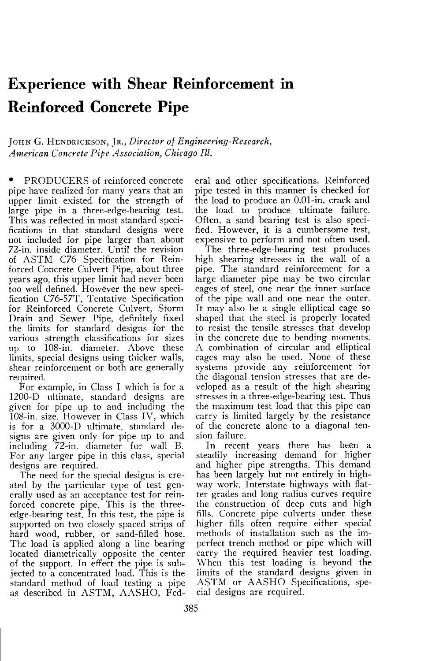## **Experience with Shear Reinforcement in Reinforced Concrete Pipe**

JOHN G. HENDRICKSON, JR., *Director of Engineering-Research*, *American Concrete Pipe Association, Chicago III.* 

• PRODUCERS of reinforced concrete pipe have realized for many years that an upper limit existed for the strength of large pipe in a three-edge-bearing test. This was reflected in most standard specifications in that standard designs were not included for pipe larger than about 72-in. inside diameter. Until the revision of ASTM C76 Specification for Reinforced Concrete Culvert Pipe, about three years ago, this upper limit had never been too well defined. However the new specification C76-57T, Tentative Specification for Reinforced Concrete Culvert, Storm Drain and Sewer Pipe, definitely fixed the limits for standard designs for the various strength classifications for sizes up to 108-in. diameter. Above these limits, special designs using thicker walls, shear reinforcement or both are generally required.

For example, in Class I which is for a 1200-D ultimate, standard designs are given for pipe up to and including the 108-in. size. However in Class IV , which is for a 3000-D ultimate, standard designs are given only for pipe up to and including 72-in. diameter for wall B. For any larger pipe in this class, special designs are required.

The need for the special designs is created by the particular type of test generally used as an acceptance test for reinforced concrete pipe. This is the threeedge-bearing test. In this test, the pipe is supported on two closely spaced strips of hard wood, rubber, or sand-filled hose. The load is applied along a line bearing located diametrically opposite the center of the support. In effect the pipe is subjected to a concentrated load. This is the standard method of load testing a pipe as described in ASTM, AASHO, Fed-

eral and other specifications. Reinforced pipe tested in this manner is checked for the load to produce an 0.01-in. crack and the load to produce ultimate failure. Often, a sand bearing test is also specified. However, it is a cumbersome test, expensive to perform and not often used.

The three-edge-bearing test produces high shearing stresses in the wall of a pipe. The standard reinforcement for a large diameter pipe may be two circular cages of steel, one near the inner surface of the pipe wall and one near the outer. It may also be a single elliptical cage so shaped that the steel is properly located to resist the tensile stresses that develop in the concrete due to bending moments. A combination of circular and elliptical cages may also be used. None of these systems provide any reinforcement for the diagonal tension stresses that are developed as a result of the high shearing stresses in a three-edge-bearing test. Thus the maximum test load that this pipe can carry is limited largely by the resistance of the concrete alone to a diagonal tension failure.

In recent years there has been a steadily increasing demand for higher and higher pipe strengths. This demand has been largely but not entirely in highway work. Interstate highways with flatter grades and long radius curves require the construction of deep cuts and high fills. Concrete pipe culverts under these higher fills often require either special methods of installation such as the imperfect trench method or pipe which will carry the required heavier test loading. When this test loading is beyond the limits of the standard designs given in ASTM or AASHO Specifications, special designs are required.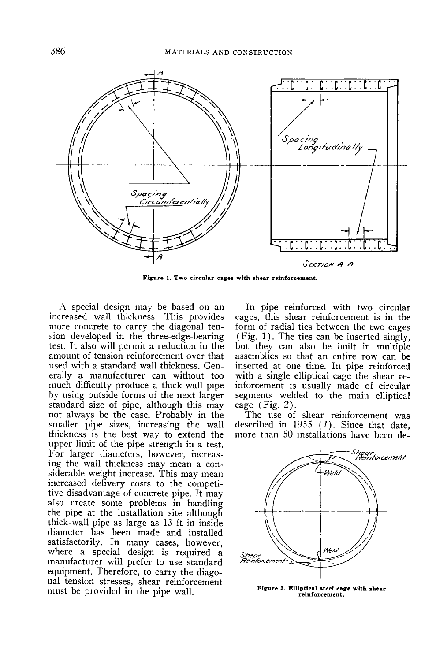

Figure 1. Two circular cages with shear reinforcement.

A special design may be based on an increased wall thickness. This provides more concrete to carry the diagonal tension developed in the three-edge-bearing test. It also will permit a reduction in the amount of tension reinforcement over that used with a standard wall thickness. Generally a manufacturer can without too much difficulty produce a thick-wall pipe by using outside forms of the next larger standard size of pipe, although this may not always be the case. Probably in the smaller pipe sizes, increasing the wall thickness is the best way to extend the upper limit of the pipe strength in a test. For larger diameters, however, increasing the wall thickness may mean a considerable weight increase. This may mean increased delivery costs to the competitive disadvantage of concrete pipe. It may also create some problems in handling the pipe at the installation site although thick-wall pipe as large as 13 ft in inside diameter has been made and installed satisfactorily. In many cases, however, where a special design is required a manufacturer will prefer to use standard equipment. Therefore, to carry the diagonal tension stresses, shear reinforcement must be provided in the pipe wall.

In pipe reinforced with two circular cages, this shear reinforcement is in the form of radial ties between the two cages (Fig. 1). The ties can be inserted singly, but they can also be built in multiple assemblies so that an entire row can be inserted at one time. In pipe reinforced with a single elliptical cage the shear reinforcement is usually made of circular segments welded to the main elliptical cage (Fig. 2).

The use of shear reinforcement was described in 1955  $(1)$ . Since that date, more than 50 installations have been de-



**Fiarure 2. Elliptical steel cace with shear reinforcement.**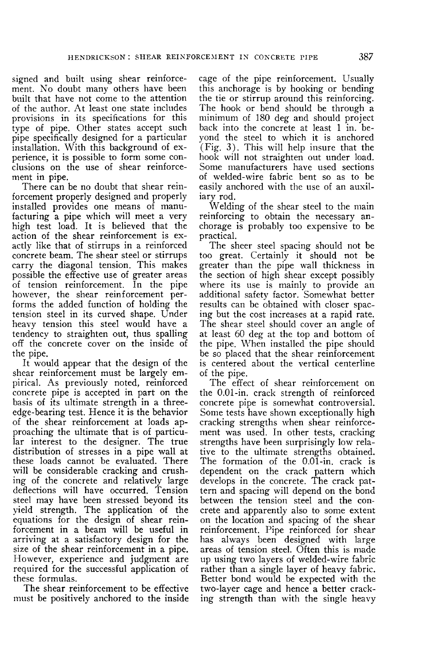signed and built using shear reinforcement. No doubt many others have been built that have not come to the attention of the author. At least one state includes provisions in its specifications for this type of pipe. Other states accept such pipe specifically designed for a particular installation. With this background of experience, it is possible to form some conclusions on the use of shear reinforcement in pipe.

There can be no doubt that shear reinforcement properly designed and properly installed provides one means of manufacturing a pipe which will meet a very high test load. It is believed that the action of the shear reinforcement is exactly like that of stirrups in a reinforced concrete beam. The shear steel or stirrups carry the diagonal tension. This makes possible the effective use of greater areas of tension reinforcement. In the pipe however, the shear reinforcement performs the added function of holding the tension steel in its curved shape. Under heavy tension this steel would have a tendency to straighten out, thus spalling off the concrete cover on the inside of the pipe.

It would appear that the design of the shear reinforcement must be largely empirical. As previously noted, reinforced concrete pipe is accepted in part on the basis of its ultimate strength in a threeedge-bearing test. Hence it is the behavior of the shear reinforcement at loads approaching the ultimate that is of particular interest to the designer. The true distribution of stresses in a pipe wall at these loads cannot be evaluated. There will be considerable cracking and crushing of the concrete and relatively large deflections will have occurred. Tension steel may have been stressed beyond its yield strength. The application of the equations for the design of shear reinforcement in a beam will be useful in arriving at a satisfactory design for the size of the shear reinforcement in a pipe. However, experience and judgment are required for the successful application of these formulas.

The shear reinforcement to be effective must be positively anchored to the inside cage of the pipe reinforcement. Usually this anchorage is by hooking or bending the tie or stirrup around this reinforcing. The hook or bend should be through a minimum of 180 deg and should project back into the concrete at least 1 in. beyond the steel to which it is anchored (Fig. 3). This will help insure that the hook will not straighten out under load. Some manufacturers have used sections of welded-wire fabric bent so as to be easily anchored with the use of an auxiliary rod.

Welding of the shear steel to the main reinforcing to obtain the necessary anchorage is probably too expensive to be practical.

The sheer steel spacing should not be too great. Certainly it should not be greater than the pipe wall thickness in the section of high shear except possibly where its use is mainly to provide an additional safety factor. Somewhat better results can be obtained with closer spacing but the cost increases at a rapid rate. The shear steel should cover an angle of at least 60 deg at the top and bottom of the pipe. When installed the pipe shovild be so placed that the shear reinforcement is centered about the vertical centerline of the pipe.

The effect of shear reinforcement on the 0.01-in. crack strength of reinforced concrete pipe is somewhat controversial. Some tests have shown exceptionally high cracking strengths when shear reinforcement was used. In other tests, cracking strengths have been surprisingly low relative to the ultimate strengths obtained. The formation of the 0.01-in. crack is dependent on the crack pattern which develops in the concrete. The crack pattern and spacing will depend on the bond between the tension steel and the concrete and apparently also to some extent on the location and spacing of the shear reinforcement. Pipe reinforced for shear has always been designed with large areas of tension steel. Often this is made up using two layers of welded-wire fabric rather than a single layer of heavy fabric. Better bond would be expected with the two-layer cage and hence a better cracking strength than with the single heavy